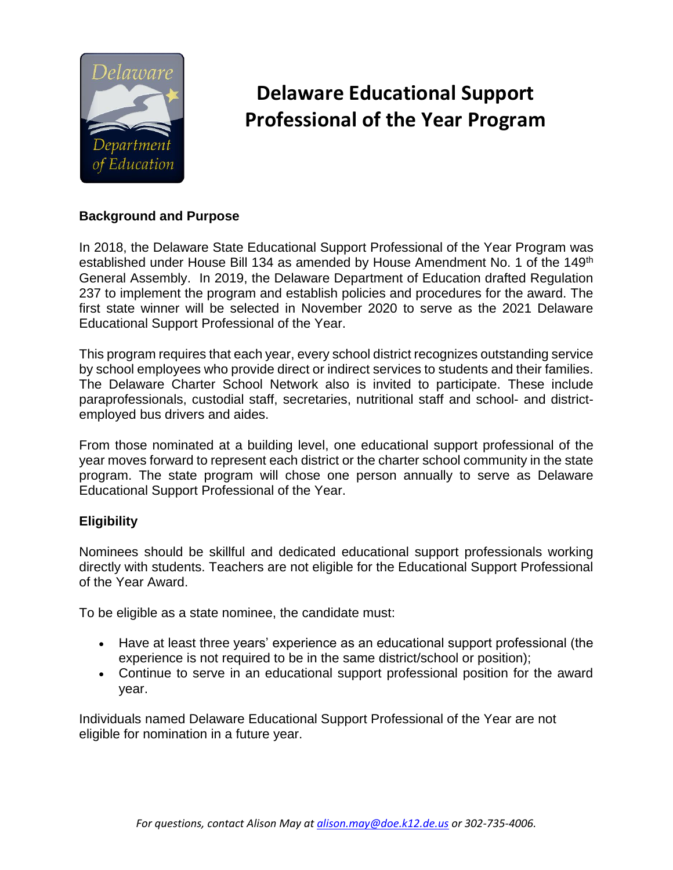

# **Delaware Educational Support Professional of the Year Program**

### **Background and Purpose**

In 2018, the Delaware State Educational Support Professional of the Year Program was established under House Bill 134 as amended by House Amendment No. 1 of the 149<sup>th</sup> General Assembly. In 2019, the Delaware Department of Education drafted Regulation 237 to implement the program and establish policies and procedures for the award. The first state winner will be selected in November 2020 to serve as the 2021 Delaware Educational Support Professional of the Year.

This program requires that each year, every school district recognizes outstanding service by school employees who provide direct or indirect services to students and their families. The Delaware Charter School Network also is invited to participate. These include paraprofessionals, custodial staff, secretaries, nutritional staff and school- and districtemployed bus drivers and aides.

From those nominated at a building level, one educational support professional of the year moves forward to represent each district or the charter school community in the state program. The state program will chose one person annually to serve as Delaware Educational Support Professional of the Year.

## **Eligibility**

Nominees should be skillful and dedicated educational support professionals working directly with students. Teachers are not eligible for the Educational Support Professional of the Year Award.

To be eligible as a state nominee, the candidate must:

- Have at least three years' experience as an educational support professional (the experience is not required to be in the same district/school or position);
- Continue to serve in an educational support professional position for the award year.

Individuals named Delaware Educational Support Professional of the Year are not eligible for nomination in a future year.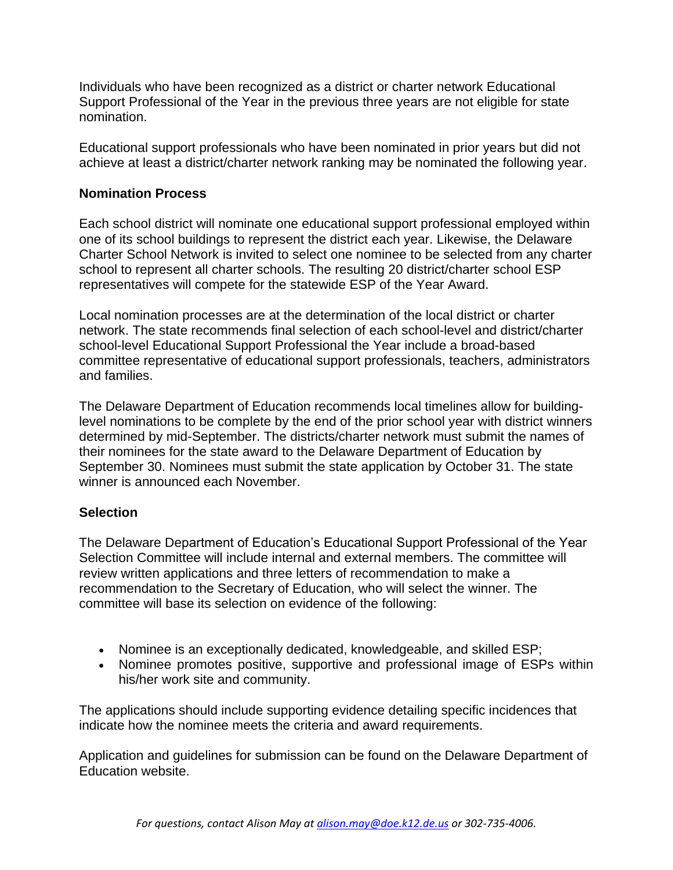Individuals who have been recognized as a district or charter network Educational Support Professional of the Year in the previous three years are not eligible for state nomination.

Educational support professionals who have been nominated in prior years but did not achieve at least a district/charter network ranking may be nominated the following year.

### **Nomination Process**

Each school district will nominate one educational support professional employed within one of its school buildings to represent the district each year. Likewise, the Delaware Charter School Network is invited to select one nominee to be selected from any charter school to represent all charter schools. The resulting 20 district/charter school ESP representatives will compete for the statewide ESP of the Year Award.

Local nomination processes are at the determination of the local district or charter network. The state recommends final selection of each school-level and district/charter school-level Educational Support Professional the Year include a broad-based committee representative of educational support professionals, teachers, administrators and families.

The Delaware Department of Education recommends local timelines allow for buildinglevel nominations to be complete by the end of the prior school year with district winners determined by mid-September. The districts/charter network must submit the names of their nominees for the state award to the Delaware Department of Education by September 30. Nominees must submit the state application by October 31. The state winner is announced each November.

#### **Selection**

The Delaware Department of Education's Educational Support Professional of the Year Selection Committee will include internal and external members. The committee will review written applications and three letters of recommendation to make a recommendation to the Secretary of Education, who will select the winner. The committee will base its selection on evidence of the following:

- Nominee is an exceptionally dedicated, knowledgeable, and skilled ESP;
- Nominee promotes positive, supportive and professional image of ESPs within his/her work site and community.

The applications should include supporting evidence detailing specific incidences that indicate how the nominee meets the criteria and award requirements.

Application and guidelines for submission can be found on the Delaware Department of Education website.